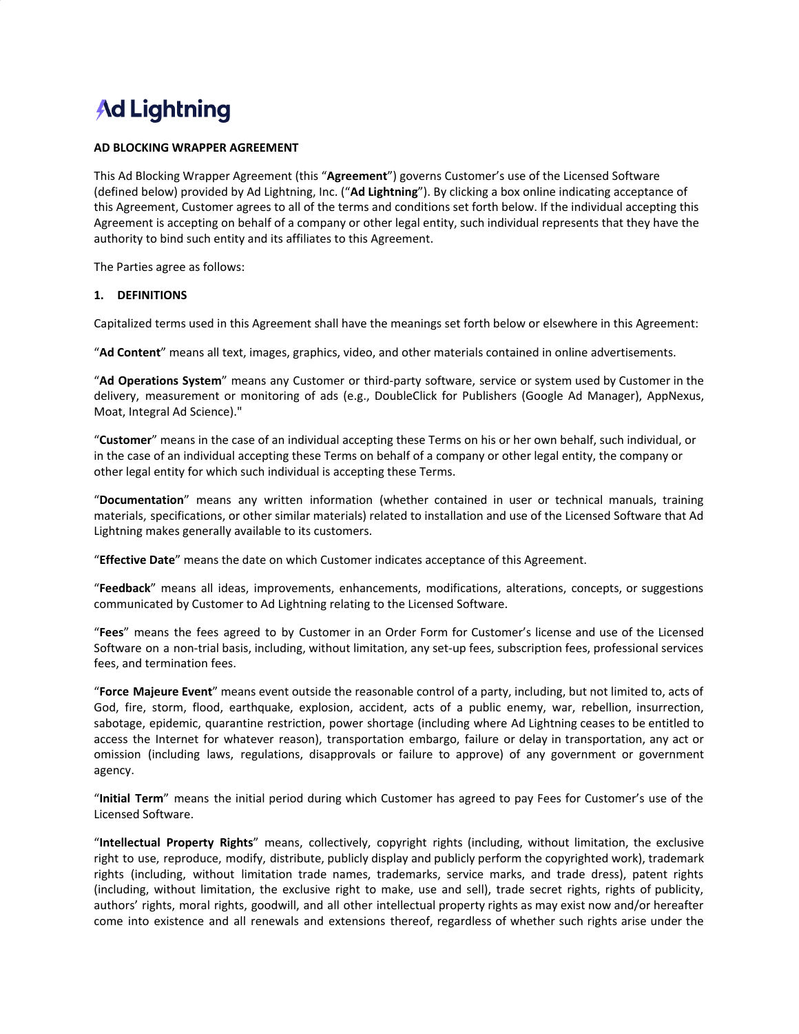# **Ad Lightning**

#### **AD BLOCKING WRAPPER AGREEMENT**

This Ad Blocking Wrapper Agreement (this "**Agreement**") governs Customer's use of the Licensed Software (defined below) provided by Ad Lightning, Inc. ("**Ad Lightning**"). By clicking a box online indicating acceptance of this Agreement, Customer agrees to all of the terms and conditions set forth below. If the individual accepting this Agreement is accepting on behalf of a company or other legal entity, such individual represents that they have the authority to bind such entity and its affiliates to this Agreement.

The Parties agree as follows:

#### **1. DEFINITIONS**

Capitalized terms used in this Agreement shall have the meanings set forth below or elsewhere in this Agreement:

"**Ad Content**" means all text, images, graphics, video, and other materials contained in online advertisements.

"**Ad Operations System**" means any Customer or third-party software, service or system used by Customer in the delivery, measurement or monitoring of ads (e.g., DoubleClick for Publishers (Google Ad Manager), AppNexus, Moat, Integral Ad Science)."

"**Customer**" means in the case of an individual accepting these Terms on his or her own behalf, such individual, or in the case of an individual accepting these Terms on behalf of a company or other legal entity, the company or other legal entity for which such individual is accepting these Terms.

"**Documentation**" means any written information (whether contained in user or technical manuals, training materials, specifications, or other similar materials) related to installation and use of the Licensed Software that Ad Lightning makes generally available to its customers.

"**Effective Date**" means the date on which Customer indicates acceptance of this Agreement.

"**Feedback**" means all ideas, improvements, enhancements, modifications, alterations, concepts, or suggestions communicated by Customer to Ad Lightning relating to the Licensed Software.

"**Fees**" means the fees agreed to by Customer in an Order Form for Customer's license and use of the Licensed Software on a non-trial basis, including, without limitation, any set-up fees, subscription fees, professional services fees, and termination fees.

"**Force Majeure Event**" means event outside the reasonable control of a party, including, but not limited to, acts of God, fire, storm, flood, earthquake, explosion, accident, acts of a public enemy, war, rebellion, insurrection, sabotage, epidemic, quarantine restriction, power shortage (including where Ad Lightning ceases to be entitled to access the Internet for whatever reason), transportation embargo, failure or delay in transportation, any act or omission (including laws, regulations, disapprovals or failure to approve) of any government or government agency.

"**Initial Term**" means the initial period during which Customer has agreed to pay Fees for Customer's use of the Licensed Software.

"**Intellectual Property Rights**" means, collectively, copyright rights (including, without limitation, the exclusive right to use, reproduce, modify, distribute, publicly display and publicly perform the copyrighted work), trademark rights (including, without limitation trade names, trademarks, service marks, and trade dress), patent rights (including, without limitation, the exclusive right to make, use and sell), trade secret rights, rights of publicity, authors' rights, moral rights, goodwill, and all other intellectual property rights as may exist now and/or hereafter come into existence and all renewals and extensions thereof, regardless of whether such rights arise under the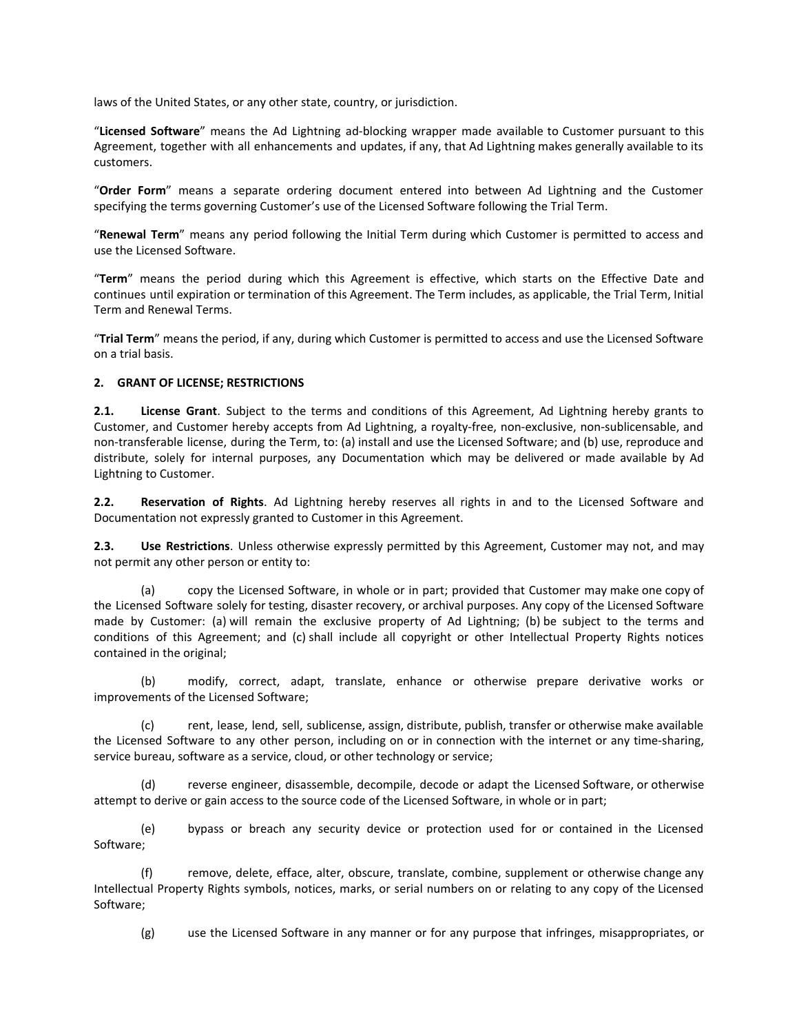laws of the United States, or any other state, country, or jurisdiction.

"**Licensed Software**" means the Ad Lightning ad-blocking wrapper made available to Customer pursuant to this Agreement, together with all enhancements and updates, if any, that Ad Lightning makes generally available to its customers.

"**Order Form**" means a separate ordering document entered into between Ad Lightning and the Customer specifying the terms governing Customer's use of the Licensed Software following the Trial Term.

"**Renewal Term**" means any period following the Initial Term during which Customer is permitted to access and use the Licensed Software.

"**Term**" means the period during which this Agreement is effective, which starts on the Effective Date and continues until expiration or termination of this Agreement. The Term includes, as applicable, the Trial Term, Initial Term and Renewal Terms.

"**Trial Term**" means the period, if any, during which Customer is permitted to access and use the Licensed Software on a trial basis.

#### **2. GRANT OF LICENSE; RESTRICTIONS**

**2.1. License Grant**. Subject to the terms and conditions of this Agreement, Ad Lightning hereby grants to Customer, and Customer hereby accepts from Ad Lightning, a royalty-free, non-exclusive, non-sublicensable, and non-transferable license, during the Term, to: (a) install and use the Licensed Software; and (b) use, reproduce and distribute, solely for internal purposes, any Documentation which may be delivered or made available by Ad Lightning to Customer.

**2.2. Reservation of Rights**. Ad Lightning hereby reserves all rights in and to the Licensed Software and Documentation not expressly granted to Customer in this Agreement.

**2.3. Use Restrictions**. Unless otherwise expressly permitted by this Agreement, Customer may not, and may not permit any other person or entity to:

(a) copy the Licensed Software, in whole or in part; provided that Customer may make one copy of the Licensed Software solely for testing, disaster recovery, or archival purposes. Any copy of the Licensed Software made by Customer: (a) will remain the exclusive property of Ad Lightning; (b) be subject to the terms and conditions of this Agreement; and (c) shall include all copyright or other Intellectual Property Rights notices contained in the original;

(b) modify, correct, adapt, translate, enhance or otherwise prepare derivative works or improvements of the Licensed Software;

(c) rent, lease, lend, sell, sublicense, assign, distribute, publish, transfer or otherwise make available the Licensed Software to any other person, including on or in connection with the internet or any time-sharing, service bureau, software as a service, cloud, or other technology or service;

(d) reverse engineer, disassemble, decompile, decode or adapt the Licensed Software, or otherwise attempt to derive or gain access to the source code of the Licensed Software, in whole or in part;

(e) bypass or breach any security device or protection used for or contained in the Licensed Software;

(f) remove, delete, efface, alter, obscure, translate, combine, supplement or otherwise change any Intellectual Property Rights symbols, notices, marks, or serial numbers on or relating to any copy of the Licensed Software;

(g) use the Licensed Software in any manner or for any purpose that infringes, misappropriates, or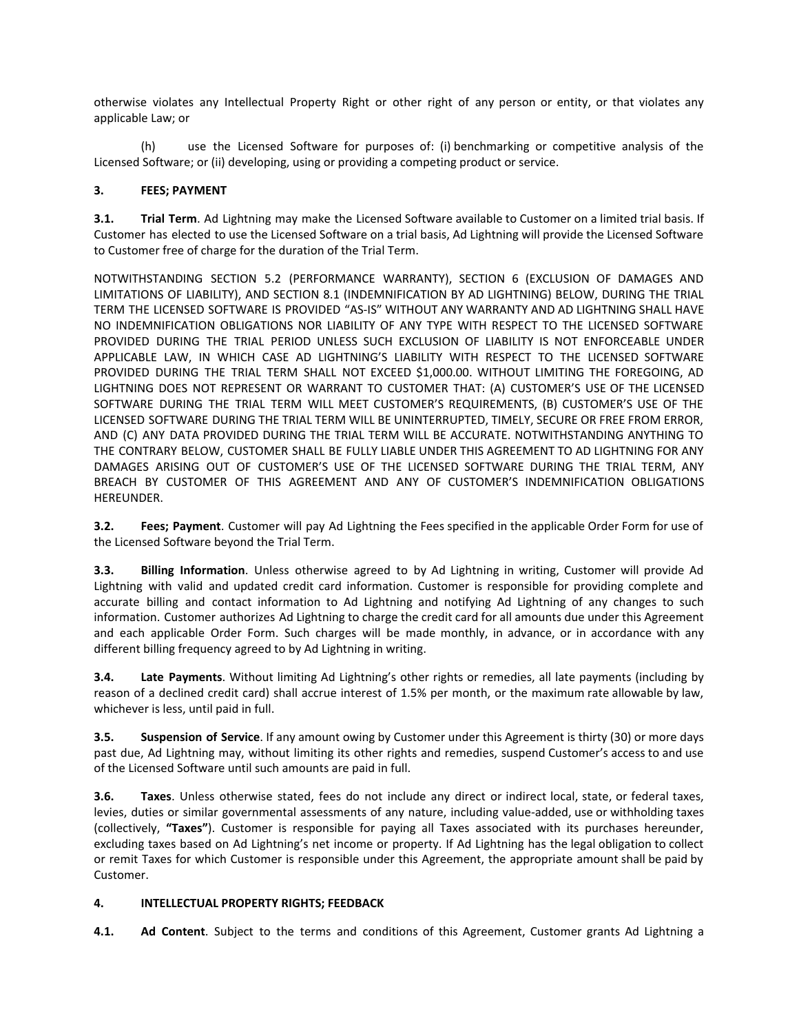otherwise violates any Intellectual Property Right or other right of any person or entity, or that violates any applicable Law; or

(h) use the Licensed Software for purposes of: (i) benchmarking or competitive analysis of the Licensed Software; or (ii) developing, using or providing a competing product or service.

## **3. FEES; PAYMENT**

**3.1. Trial Term**. Ad Lightning may make the Licensed Software available to Customer on a limited trial basis. If Customer has elected to use the Licensed Software on a trial basis, Ad Lightning will provide the Licensed Software to Customer free of charge for the duration of the Trial Term.

NOTWITHSTANDING SECTION 5.2 (PERFORMANCE WARRANTY), SECTION 6 (EXCLUSION OF DAMAGES AND LIMITATIONS OF LIABILITY), AND SECTION 8.1 (INDEMNIFICATION BY AD LIGHTNING) BELOW, DURING THE TRIAL TERM THE LICENSED SOFTWARE IS PROVIDED "AS-IS" WITHOUT ANY WARRANTY AND AD LIGHTNING SHALL HAVE NO INDEMNIFICATION OBLIGATIONS NOR LIABILITY OF ANY TYPE WITH RESPECT TO THE LICENSED SOFTWARE PROVIDED DURING THE TRIAL PERIOD UNLESS SUCH EXCLUSION OF LIABILITY IS NOT ENFORCEABLE UNDER APPLICABLE LAW, IN WHICH CASE AD LIGHTNING'S LIABILITY WITH RESPECT TO THE LICENSED SOFTWARE PROVIDED DURING THE TRIAL TERM SHALL NOT EXCEED \$1,000.00. WITHOUT LIMITING THE FOREGOING, AD LIGHTNING DOES NOT REPRESENT OR WARRANT TO CUSTOMER THAT: (A) CUSTOMER'S USE OF THE LICENSED SOFTWARE DURING THE TRIAL TERM WILL MEET CUSTOMER'S REQUIREMENTS, (B) CUSTOMER'S USE OF THE LICENSED SOFTWARE DURING THE TRIAL TERM WILL BE UNINTERRUPTED, TIMELY, SECURE OR FREE FROM ERROR, AND (C) ANY DATA PROVIDED DURING THE TRIAL TERM WILL BE ACCURATE. NOTWITHSTANDING ANYTHING TO THE CONTRARY BELOW, CUSTOMER SHALL BE FULLY LIABLE UNDER THIS AGREEMENT TO AD LIGHTNING FOR ANY DAMAGES ARISING OUT OF CUSTOMER'S USE OF THE LICENSED SOFTWARE DURING THE TRIAL TERM, ANY BREACH BY CUSTOMER OF THIS AGREEMENT AND ANY OF CUSTOMER'S INDEMNIFICATION OBLIGATIONS HEREUNDER.

**3.2. Fees; Payment**. Customer will pay Ad Lightning the Fees specified in the applicable Order Form for use of the Licensed Software beyond the Trial Term.

**3.3. Billing Information**. Unless otherwise agreed to by Ad Lightning in writing, Customer will provide Ad Lightning with valid and updated credit card information. Customer is responsible for providing complete and accurate billing and contact information to Ad Lightning and notifying Ad Lightning of any changes to such information. Customer authorizes Ad Lightning to charge the credit card for all amounts due under this Agreement and each applicable Order Form. Such charges will be made monthly, in advance, or in accordance with any different billing frequency agreed to by Ad Lightning in writing.

**3.4. Late Payments**. Without limiting Ad Lightning's other rights or remedies, all late payments (including by reason of a declined credit card) shall accrue interest of 1.5% per month, or the maximum rate allowable by law, whichever is less, until paid in full.

**3.5. Suspension of Service**. If any amount owing by Customer under this Agreement is thirty (30) or more days past due, Ad Lightning may, without limiting its other rights and remedies, suspend Customer's access to and use of the Licensed Software until such amounts are paid in full.

**3.6. Taxes**. Unless otherwise stated, fees do not include any direct or indirect local, state, or federal taxes, levies, duties or similar governmental assessments of any nature, including value-added, use or withholding taxes (collectively, **"Taxes"**). Customer is responsible for paying all Taxes associated with its purchases hereunder, excluding taxes based on Ad Lightning's net income or property. If Ad Lightning has the legal obligation to collect or remit Taxes for which Customer is responsible under this Agreement, the appropriate amount shall be paid by Customer.

## **4. INTELLECTUAL PROPERTY RIGHTS; FEEDBACK**

**4.1. Ad Content**. Subject to the terms and conditions of this Agreement, Customer grants Ad Lightning a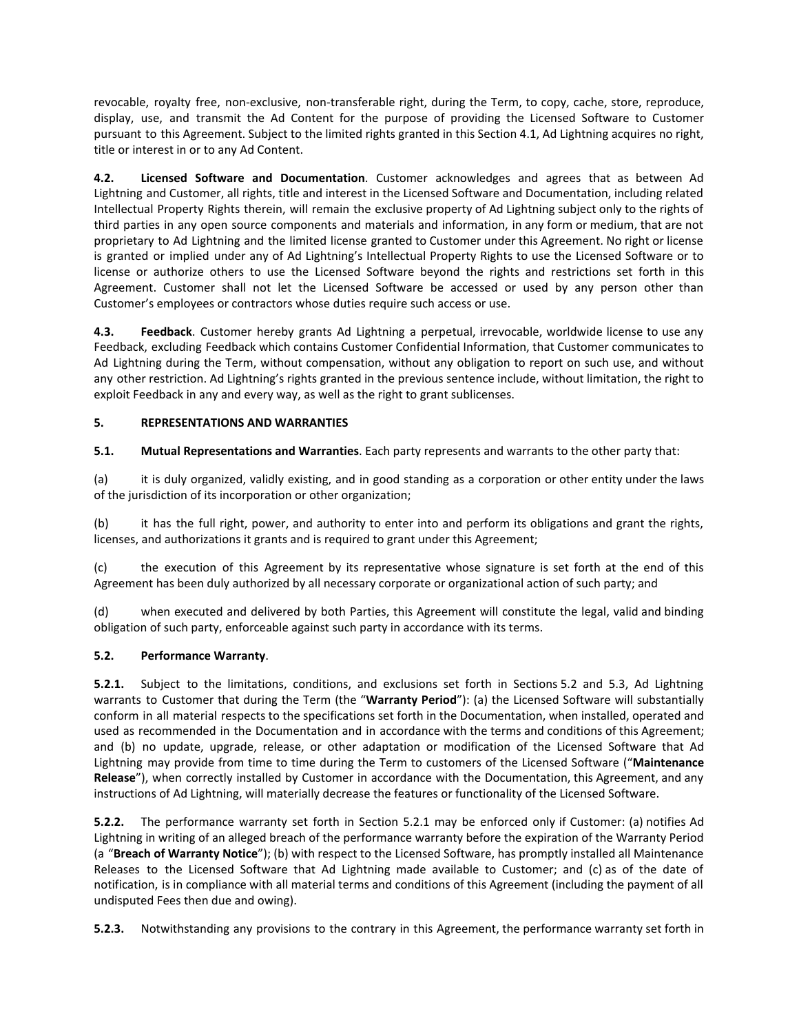revocable, royalty free, non-exclusive, non-transferable right, during the Term, to copy, cache, store, reproduce, display, use, and transmit the Ad Content for the purpose of providing the Licensed Software to Customer pursuant to this Agreement. Subject to the limited rights granted in this Section 4.1, Ad Lightning acquires no right, title or interest in or to any Ad Content.

**4.2. Licensed Software and Documentation**. Customer acknowledges and agrees that as between Ad Lightning and Customer, all rights, title and interest in the Licensed Software and Documentation, including related Intellectual Property Rights therein, will remain the exclusive property of Ad Lightning subject only to the rights of third parties in any open source components and materials and information, in any form or medium, that are not proprietary to Ad Lightning and the limited license granted to Customer under this Agreement. No right or license is granted or implied under any of Ad Lightning's Intellectual Property Rights to use the Licensed Software or to license or authorize others to use the Licensed Software beyond the rights and restrictions set forth in this Agreement. Customer shall not let the Licensed Software be accessed or used by any person other than Customer's employees or contractors whose duties require such access or use.

**4.3. Feedback**. Customer hereby grants Ad Lightning a perpetual, irrevocable, worldwide license to use any Feedback, excluding Feedback which contains Customer Confidential Information, that Customer communicates to Ad Lightning during the Term, without compensation, without any obligation to report on such use, and without any other restriction. Ad Lightning's rights granted in the previous sentence include, without limitation, the right to exploit Feedback in any and every way, as well as the right to grant sublicenses.

# **5. REPRESENTATIONS AND WARRANTIES**

# **5.1. Mutual Representations and Warranties**. Each party represents and warrants to the other party that:

(a) it is duly organized, validly existing, and in good standing as a corporation or other entity under the laws of the jurisdiction of its incorporation or other organization;

(b) it has the full right, power, and authority to enter into and perform its obligations and grant the rights, licenses, and authorizations it grants and is required to grant under this Agreement;

(c) the execution of this Agreement by its representative whose signature is set forth at the end of this Agreement has been duly authorized by all necessary corporate or organizational action of such party; and

(d) when executed and delivered by both Parties, this Agreement will constitute the legal, valid and binding obligation of such party, enforceable against such party in accordance with its terms.

## **5.2. Performance Warranty**.

**5.2.1.** Subject to the limitations, conditions, and exclusions set forth in Sections 5.2 and 5.3, Ad Lightning warrants to Customer that during the Term (the "**Warranty Period**"): (a) the Licensed Software will substantially conform in all material respects to the specifications set forth in the Documentation, when installed, operated and used as recommended in the Documentation and in accordance with the terms and conditions of this Agreement; and (b) no update, upgrade, release, or other adaptation or modification of the Licensed Software that Ad Lightning may provide from time to time during the Term to customers of the Licensed Software ("**Maintenance Release**"), when correctly installed by Customer in accordance with the Documentation, this Agreement, and any instructions of Ad Lightning, will materially decrease the features or functionality of the Licensed Software.

**5.2.2.** The performance warranty set forth in Section 5.2.1 may be enforced only if Customer: (a) notifies Ad Lightning in writing of an alleged breach of the performance warranty before the expiration of the Warranty Period (a "**Breach of Warranty Notice**"); (b) with respect to the Licensed Software, has promptly installed all Maintenance Releases to the Licensed Software that Ad Lightning made available to Customer; and (c) as of the date of notification, is in compliance with all material terms and conditions of this Agreement (including the payment of all undisputed Fees then due and owing).

**5.2.3.** Notwithstanding any provisions to the contrary in this Agreement, the performance warranty set forth in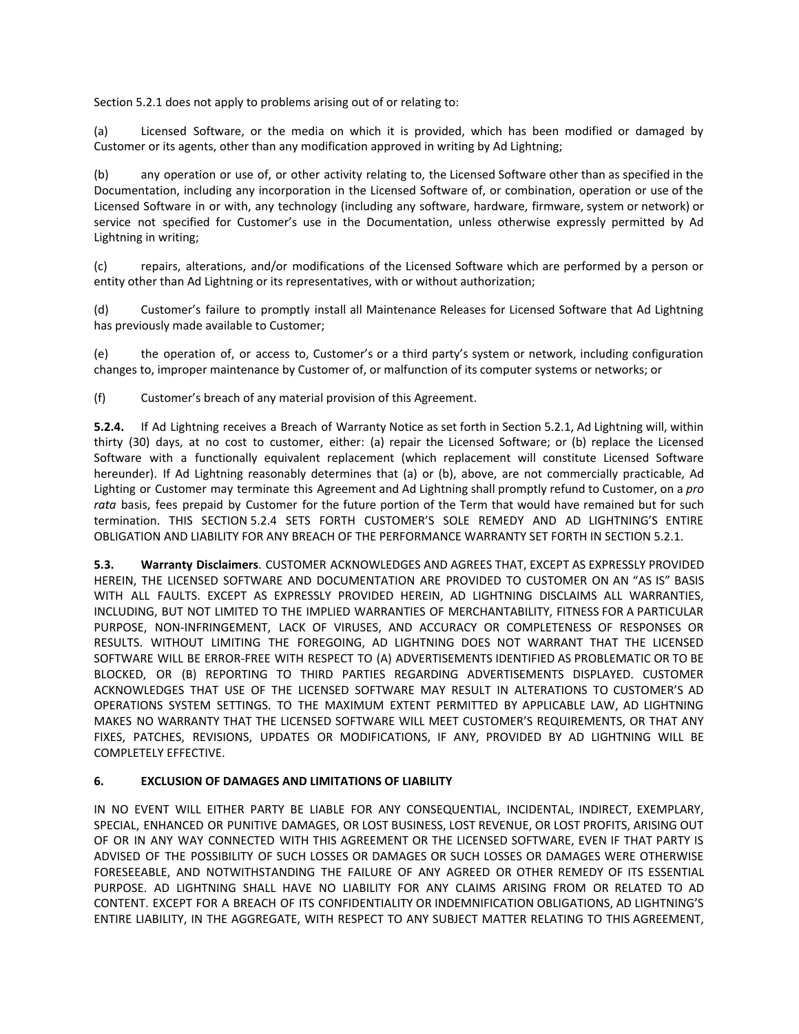Section 5.2.1 does not apply to problems arising out of or relating to:

(a) Licensed Software, or the media on which it is provided, which has been modified or damaged by Customer or its agents, other than any modification approved in writing by Ad Lightning;

(b) any operation or use of, or other activity relating to, the Licensed Software other than as specified in the Documentation, including any incorporation in the Licensed Software of, or combination, operation or use of the Licensed Software in or with, any technology (including any software, hardware, firmware, system or network) or service not specified for Customer's use in the Documentation, unless otherwise expressly permitted by Ad Lightning in writing;

(c) repairs, alterations, and/or modifications of the Licensed Software which are performed by a person or entity other than Ad Lightning or its representatives, with or without authorization;

(d) Customer's failure to promptly install all Maintenance Releases for Licensed Software that Ad Lightning has previously made available to Customer;

(e) the operation of, or access to, Customer's or a third party's system or network, including configuration changes to, improper maintenance by Customer of, or malfunction of its computer systems or networks; or

(f) Customer's breach of any material provision of this Agreement.

**5.2.4.** If Ad Lightning receives a Breach of Warranty Notice as set forth in Section 5.2.1, Ad Lightning will, within thirty (30) days, at no cost to customer, either: (a) repair the Licensed Software; or (b) replace the Licensed Software with a functionally equivalent replacement (which replacement will constitute Licensed Software hereunder). If Ad Lightning reasonably determines that (a) or (b), above, are not commercially practicable, Ad Lighting or Customer may terminate this Agreement and Ad Lightning shall promptly refund to Customer, on a *pro rata* basis, fees prepaid by Customer for the future portion of the Term that would have remained but for such termination. THIS SECTION 5.2.4 SETS FORTH CUSTOMER'S SOLE REMEDY AND AD LIGHTNING'S ENTIRE OBLIGATION AND LIABILITY FOR ANY BREACH OF THE PERFORMANCE WARRANTY SET FORTH IN SECTION 5.2.1.

**5.3. Warranty Disclaimers**. CUSTOMER ACKNOWLEDGES AND AGREES THAT, EXCEPT AS EXPRESSLY PROVIDED HEREIN, THE LICENSED SOFTWARE AND DOCUMENTATION ARE PROVIDED TO CUSTOMER ON AN "AS IS" BASIS WITH ALL FAULTS. EXCEPT AS EXPRESSLY PROVIDED HEREIN, AD LIGHTNING DISCLAIMS ALL WARRANTIES, INCLUDING, BUT NOT LIMITED TO THE IMPLIED WARRANTIES OF MERCHANTABILITY, FITNESS FOR A PARTICULAR PURPOSE, NON-INFRINGEMENT, LACK OF VIRUSES, AND ACCURACY OR COMPLETENESS OF RESPONSES OR RESULTS. WITHOUT LIMITING THE FOREGOING, AD LIGHTNING DOES NOT WARRANT THAT THE LICENSED SOFTWARE WILL BE ERROR-FREE WITH RESPECT TO (A) ADVERTISEMENTS IDENTIFIED AS PROBLEMATIC OR TO BE BLOCKED, OR (B) REPORTING TO THIRD PARTIES REGARDING ADVERTISEMENTS DISPLAYED. CUSTOMER ACKNOWLEDGES THAT USE OF THE LICENSED SOFTWARE MAY RESULT IN ALTERATIONS TO CUSTOMER'S AD OPERATIONS SYSTEM SETTINGS. TO THE MAXIMUM EXTENT PERMITTED BY APPLICABLE LAW, AD LIGHTNING MAKES NO WARRANTY THAT THE LICENSED SOFTWARE WILL MEET CUSTOMER'S REQUIREMENTS, OR THAT ANY FIXES, PATCHES, REVISIONS, UPDATES OR MODIFICATIONS, IF ANY, PROVIDED BY AD LIGHTNING WILL BE COMPLETELY EFFECTIVE.

## **6. EXCLUSION OF DAMAGES AND LIMITATIONS OF LIABILITY**

IN NO EVENT WILL EITHER PARTY BE LIABLE FOR ANY CONSEQUENTIAL, INCIDENTAL, INDIRECT, EXEMPLARY, SPECIAL, ENHANCED OR PUNITIVE DAMAGES, OR LOST BUSINESS, LOST REVENUE, OR LOST PROFITS, ARISING OUT OF OR IN ANY WAY CONNECTED WITH THIS AGREEMENT OR THE LICENSED SOFTWARE, EVEN IF THAT PARTY IS ADVISED OF THE POSSIBILITY OF SUCH LOSSES OR DAMAGES OR SUCH LOSSES OR DAMAGES WERE OTHERWISE FORESEEABLE, AND NOTWITHSTANDING THE FAILURE OF ANY AGREED OR OTHER REMEDY OF ITS ESSENTIAL PURPOSE. AD LIGHTNING SHALL HAVE NO LIABILITY FOR ANY CLAIMS ARISING FROM OR RELATED TO AD CONTENT. EXCEPT FOR A BREACH OF ITS CONFIDENTIALITY OR INDEMNIFICATION OBLIGATIONS, AD LIGHTNING'S ENTIRE LIABILITY, IN THE AGGREGATE, WITH RESPECT TO ANY SUBJECT MATTER RELATING TO THIS AGREEMENT,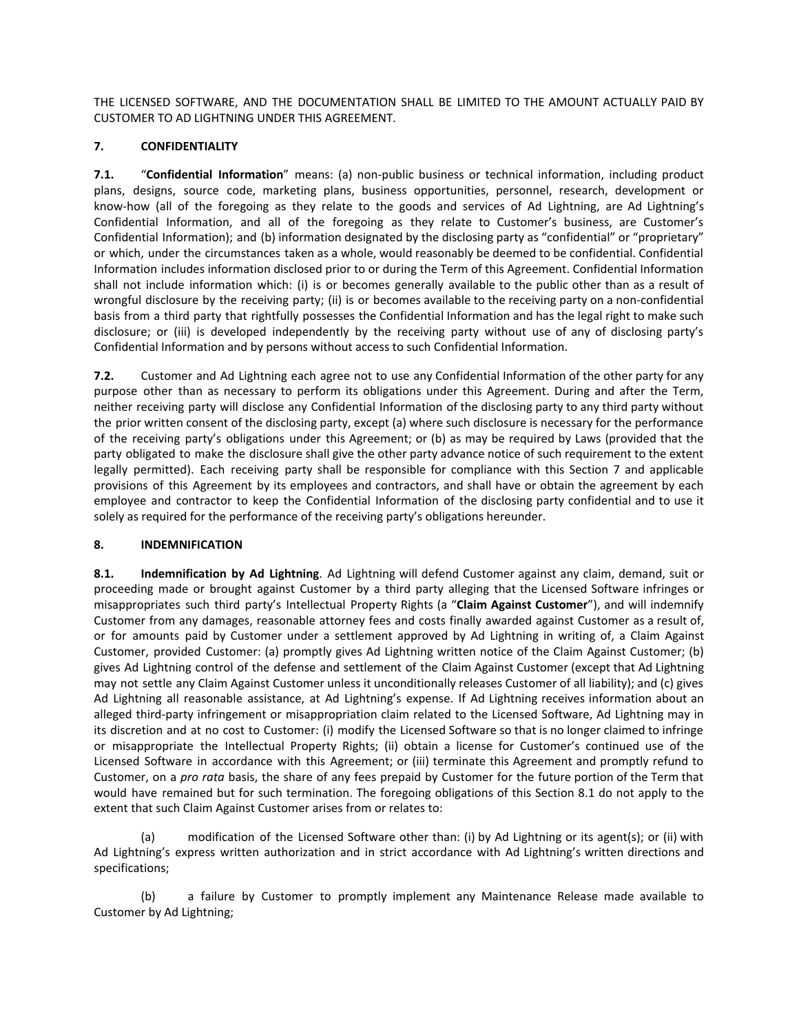THE LICENSED SOFTWARE, AND THE DOCUMENTATION SHALL BE LIMITED TO THE AMOUNT ACTUALLY PAID BY CUSTOMER TO AD LIGHTNING UNDER THIS AGREEMENT.

# **7. CONFIDENTIALITY**

**7.1.** "**Confidential Information**" means: (a) non-public business or technical information, including product plans, designs, source code, marketing plans, business opportunities, personnel, research, development or know-how (all of the foregoing as they relate to the goods and services of Ad Lightning, are Ad Lightning's Confidential Information, and all of the foregoing as they relate to Customer's business, are Customer's Confidential Information); and (b) information designated by the disclosing party as "confidential" or "proprietary" or which, under the circumstances taken as a whole, would reasonably be deemed to be confidential. Confidential Information includes information disclosed prior to or during the Term of this Agreement. Confidential Information shall not include information which: (i) is or becomes generally available to the public other than as a result of wrongful disclosure by the receiving party; (ii) is or becomes available to the receiving party on a non-confidential basis from a third party that rightfully possesses the Confidential Information and has the legal right to make such disclosure; or (iii) is developed independently by the receiving party without use of any of disclosing party's Confidential Information and by persons without access to such Confidential Information.

**7.2.** Customer and Ad Lightning each agree not to use any Confidential Information of the other party for any purpose other than as necessary to perform its obligations under this Agreement. During and after the Term, neither receiving party will disclose any Confidential Information of the disclosing party to any third party without the prior written consent of the disclosing party, except (a) where such disclosure is necessary for the performance of the receiving party's obligations under this Agreement; or (b) as may be required by Laws (provided that the party obligated to make the disclosure shall give the other party advance notice of such requirement to the extent legally permitted). Each receiving party shall be responsible for compliance with this Section 7 and applicable provisions of this Agreement by its employees and contractors, and shall have or obtain the agreement by each employee and contractor to keep the Confidential Information of the disclosing party confidential and to use it solely as required for the performance of the receiving party's obligations hereunder.

## **8. INDEMNIFICATION**

**8.1. Indemnification by Ad Lightning**. Ad Lightning will defend Customer against any claim, demand, suit or proceeding made or brought against Customer by a third party alleging that the Licensed Software infringes or misappropriates such third party's Intellectual Property Rights (a "**Claim Against Customer**"), and will indemnify Customer from any damages, reasonable attorney fees and costs finally awarded against Customer as a result of, or for amounts paid by Customer under a settlement approved by Ad Lightning in writing of, a Claim Against Customer, provided Customer: (a) promptly gives Ad Lightning written notice of the Claim Against Customer; (b) gives Ad Lightning control of the defense and settlement of the Claim Against Customer (except that Ad Lightning may not settle any Claim Against Customer unless it unconditionally releases Customer of all liability); and (c) gives Ad Lightning all reasonable assistance, at Ad Lightning's expense. If Ad Lightning receives information about an alleged third-party infringement or misappropriation claim related to the Licensed Software, Ad Lightning may in its discretion and at no cost to Customer: (i) modify the Licensed Software so that is no longer claimed to infringe or misappropriate the Intellectual Property Rights; (ii) obtain a license for Customer's continued use of the Licensed Software in accordance with this Agreement; or (iii) terminate this Agreement and promptly refund to Customer, on a *pro rata* basis, the share of any fees prepaid by Customer for the future portion of the Term that would have remained but for such termination. The foregoing obligations of this Section 8.1 do not apply to the extent that such Claim Against Customer arises from or relates to:

(a) modification of the Licensed Software other than: (i) by Ad Lightning or its agent(s); or (ii) with Ad Lightning's express written authorization and in strict accordance with Ad Lightning's written directions and specifications;

(b) a failure by Customer to promptly implement any Maintenance Release made available to Customer by Ad Lightning;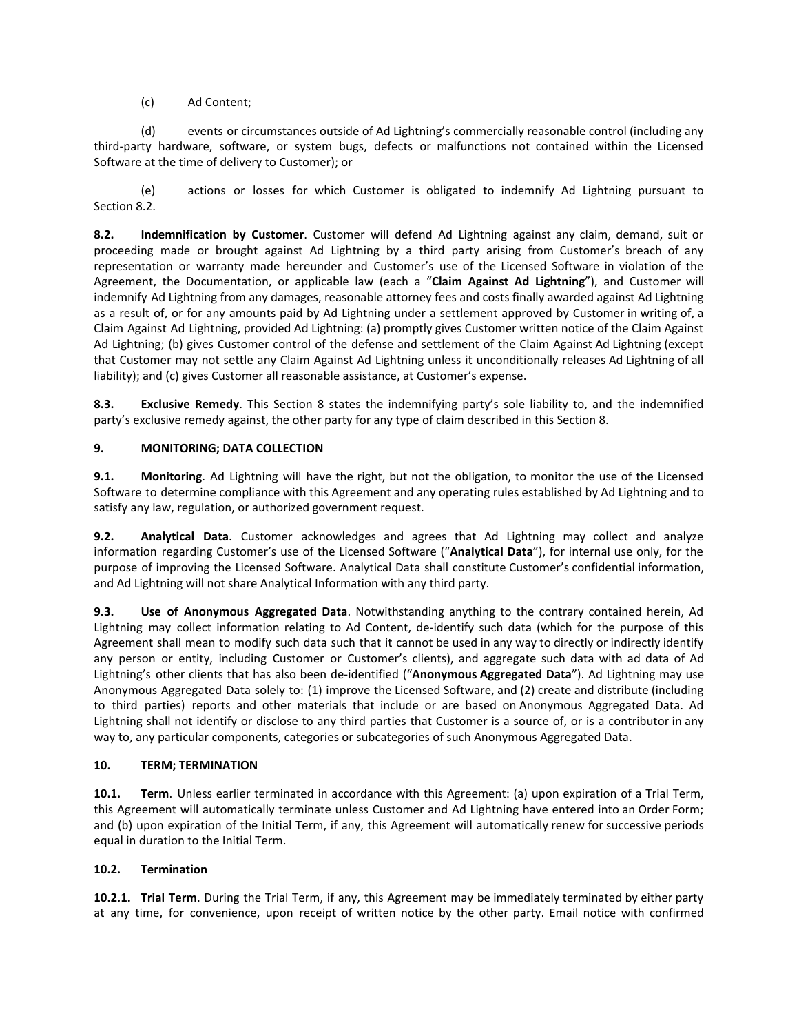(c) Ad Content;

(d) events or circumstances outside of Ad Lightning's commercially reasonable control (including any third-party hardware, software, or system bugs, defects or malfunctions not contained within the Licensed Software at the time of delivery to Customer); or

(e) actions or losses for which Customer is obligated to indemnify Ad Lightning pursuant to Section 8.2.

**8.2. Indemnification by Customer**. Customer will defend Ad Lightning against any claim, demand, suit or proceeding made or brought against Ad Lightning by a third party arising from Customer's breach of any representation or warranty made hereunder and Customer's use of the Licensed Software in violation of the Agreement, the Documentation, or applicable law (each a "**Claim Against Ad Lightning**"), and Customer will indemnify Ad Lightning from any damages, reasonable attorney fees and costs finally awarded against Ad Lightning as a result of, or for any amounts paid by Ad Lightning under a settlement approved by Customer in writing of, a Claim Against Ad Lightning, provided Ad Lightning: (a) promptly gives Customer written notice of the Claim Against Ad Lightning; (b) gives Customer control of the defense and settlement of the Claim Against Ad Lightning (except that Customer may not settle any Claim Against Ad Lightning unless it unconditionally releases Ad Lightning of all liability); and (c) gives Customer all reasonable assistance, at Customer's expense.

**8.3. Exclusive Remedy**. This Section 8 states the indemnifying party's sole liability to, and the indemnified party's exclusive remedy against, the other party for any type of claim described in this Section 8.

# **9. MONITORING; DATA COLLECTION**

**9.1. Monitoring**. Ad Lightning will have the right, but not the obligation, to monitor the use of the Licensed Software to determine compliance with this Agreement and any operating rules established by Ad Lightning and to satisfy any law, regulation, or authorized government request.

**9.2. Analytical Data**. Customer acknowledges and agrees that Ad Lightning may collect and analyze information regarding Customer's use of the Licensed Software ("**Analytical Data**"), for internal use only, for the purpose of improving the Licensed Software. Analytical Data shall constitute Customer's confidential information, and Ad Lightning will not share Analytical Information with any third party.

**9.3. Use of Anonymous Aggregated Data**. Notwithstanding anything to the contrary contained herein, Ad Lightning may collect information relating to Ad Content, de-identify such data (which for the purpose of this Agreement shall mean to modify such data such that it cannot be used in any way to directly or indirectly identify any person or entity, including Customer or Customer's clients), and aggregate such data with ad data of Ad Lightning's other clients that has also been de-identified ("**Anonymous Aggregated Data**"). Ad Lightning may use Anonymous Aggregated Data solely to: (1) improve the Licensed Software, and (2) create and distribute (including to third parties) reports and other materials that include or are based on Anonymous Aggregated Data. Ad Lightning shall not identify or disclose to any third parties that Customer is a source of, or is a contributor in any way to, any particular components, categories or subcategories of such Anonymous Aggregated Data.

## **10. TERM; TERMINATION**

**10.1. Term**. Unless earlier terminated in accordance with this Agreement: (a) upon expiration of a Trial Term, this Agreement will automatically terminate unless Customer and Ad Lightning have entered into an Order Form; and (b) upon expiration of the Initial Term, if any, this Agreement will automatically renew for successive periods equal in duration to the Initial Term.

## **10.2. Termination**

**10.2.1. Trial Term**. During the Trial Term, if any, this Agreement may be immediately terminated by either party at any time, for convenience, upon receipt of written notice by the other party. Email notice with confirmed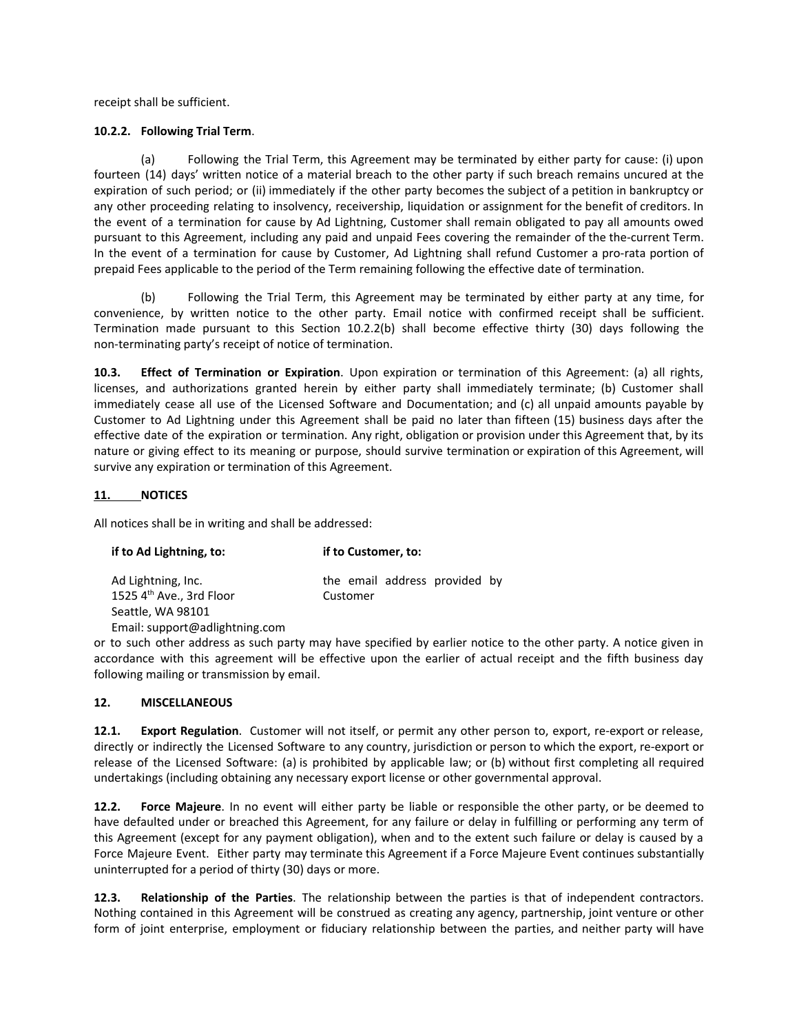receipt shall be sufficient.

#### **10.2.2. Following Trial Term**.

(a) Following the Trial Term, this Agreement may be terminated by either party for cause: (i) upon fourteen (14) days' written notice of a material breach to the other party if such breach remains uncured at the expiration of such period; or (ii) immediately if the other party becomes the subject of a petition in bankruptcy or any other proceeding relating to insolvency, receivership, liquidation or assignment for the benefit of creditors. In the event of a termination for cause by Ad Lightning, Customer shall remain obligated to pay all amounts owed pursuant to this Agreement, including any paid and unpaid Fees covering the remainder of the the-current Term. In the event of a termination for cause by Customer, Ad Lightning shall refund Customer a pro-rata portion of prepaid Fees applicable to the period of the Term remaining following the effective date of termination.

(b) Following the Trial Term, this Agreement may be terminated by either party at any time, for convenience, by written notice to the other party. Email notice with confirmed receipt shall be sufficient. Termination made pursuant to this Section 10.2.2(b) shall become effective thirty (30) days following the non-terminating party's receipt of notice of termination.

**10.3. Effect of Termination or Expiration**. Upon expiration or termination of this Agreement: (a) all rights, licenses, and authorizations granted herein by either party shall immediately terminate; (b) Customer shall immediately cease all use of the Licensed Software and Documentation; and (c) all unpaid amounts payable by Customer to Ad Lightning under this Agreement shall be paid no later than fifteen (15) business days after the effective date of the expiration or termination. Any right, obligation or provision under this Agreement that, by its nature or giving effect to its meaning or purpose, should survive termination or expiration of this Agreement, will survive any expiration or termination of this Agreement.

## **11. NOTICES**

All notices shall be in writing and shall be addressed:

| if to Ad Lightning, to:                                    | if to Customer, to:                       |
|------------------------------------------------------------|-------------------------------------------|
| Ad Lightning, Inc.<br>1525 4 <sup>th</sup> Ave., 3rd Floor | the email address provided by<br>Customer |
| Seattle, WA 98101                                          |                                           |
| Email: support@adlightning.com                             |                                           |

or to such other address as such party may have specified by earlier notice to the other party. A notice given in accordance with this agreement will be effective upon the earlier of actual receipt and the fifth business day following mailing or transmission by email.

## **12. MISCELLANEOUS**

**12.1. Export Regulation**. Customer will not itself, or permit any other person to, export, re-export or release, directly or indirectly the Licensed Software to any country, jurisdiction or person to which the export, re-export or release of the Licensed Software: (a) is prohibited by applicable law; or (b) without first completing all required undertakings (including obtaining any necessary export license or other governmental approval.

**12.2. Force Majeure**. In no event will either party be liable or responsible the other party, or be deemed to have defaulted under or breached this Agreement, for any failure or delay in fulfilling or performing any term of this Agreement (except for any payment obligation), when and to the extent such failure or delay is caused by a Force Majeure Event. Either party may terminate this Agreement if a Force Majeure Event continues substantially uninterrupted for a period of thirty (30) days or more.

**12.3. Relationship of the Parties**. The relationship between the parties is that of independent contractors. Nothing contained in this Agreement will be construed as creating any agency, partnership, joint venture or other form of joint enterprise, employment or fiduciary relationship between the parties, and neither party will have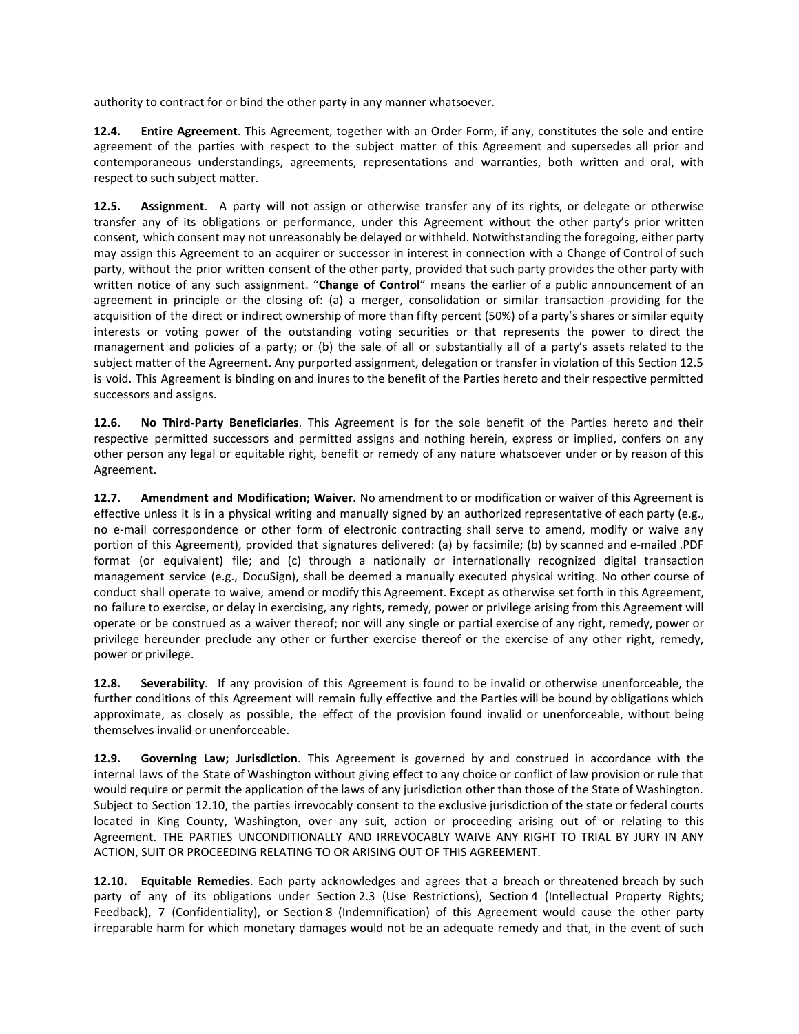authority to contract for or bind the other party in any manner whatsoever.

**12.4. Entire Agreement**. This Agreement, together with an Order Form, if any, constitutes the sole and entire agreement of the parties with respect to the subject matter of this Agreement and supersedes all prior and contemporaneous understandings, agreements, representations and warranties, both written and oral, with respect to such subject matter.

**12.5. Assignment**. A party will not assign or otherwise transfer any of its rights, or delegate or otherwise transfer any of its obligations or performance, under this Agreement without the other party's prior written consent, which consent may not unreasonably be delayed or withheld. Notwithstanding the foregoing, either party may assign this Agreement to an acquirer or successor in interest in connection with a Change of Control of such party, without the prior written consent of the other party, provided that such party provides the other party with written notice of any such assignment. "**Change of Control**" means the earlier of a public announcement of an agreement in principle or the closing of: (a) a merger, consolidation or similar transaction providing for the acquisition of the direct or indirect ownership of more than fifty percent (50%) of a party's shares or similar equity interests or voting power of the outstanding voting securities or that represents the power to direct the management and policies of a party; or (b) the sale of all or substantially all of a party's assets related to the subject matter of the Agreement. Any purported assignment, delegation or transfer in violation of this Section 12.5 is void. This Agreement is binding on and inures to the benefit of the Parties hereto and their respective permitted successors and assigns.

**12.6. No Third-Party Beneficiaries**. This Agreement is for the sole benefit of the Parties hereto and their respective permitted successors and permitted assigns and nothing herein, express or implied, confers on any other person any legal or equitable right, benefit or remedy of any nature whatsoever under or by reason of this Agreement.

**12.7. Amendment and Modification; Waiver**. No amendment to or modification or waiver of this Agreement is effective unless it is in a physical writing and manually signed by an authorized representative of each party (e.g., no e-mail correspondence or other form of electronic contracting shall serve to amend, modify or waive any portion of this Agreement), provided that signatures delivered: (a) by facsimile; (b) by scanned and e-mailed .PDF format (or equivalent) file; and (c) through a nationally or internationally recognized digital transaction management service (e.g., DocuSign), shall be deemed a manually executed physical writing. No other course of conduct shall operate to waive, amend or modify this Agreement. Except as otherwise set forth in this Agreement, no failure to exercise, or delay in exercising, any rights, remedy, power or privilege arising from this Agreement will operate or be construed as a waiver thereof; nor will any single or partial exercise of any right, remedy, power or privilege hereunder preclude any other or further exercise thereof or the exercise of any other right, remedy, power or privilege.

**12.8. Severability**. If any provision of this Agreement is found to be invalid or otherwise unenforceable, the further conditions of this Agreement will remain fully effective and the Parties will be bound by obligations which approximate, as closely as possible, the effect of the provision found invalid or unenforceable, without being themselves invalid or unenforceable.

**12.9. Governing Law; Jurisdiction**. This Agreement is governed by and construed in accordance with the internal laws of the State of Washington without giving effect to any choice or conflict of law provision or rule that would require or permit the application of the laws of any jurisdiction other than those of the State of Washington. Subject to Section 12.10, the parties irrevocably consent to the exclusive jurisdiction of the state or federal courts located in King County, Washington, over any suit, action or proceeding arising out of or relating to this Agreement. THE PARTIES UNCONDITIONALLY AND IRREVOCABLY WAIVE ANY RIGHT TO TRIAL BY JURY IN ANY ACTION, SUIT OR PROCEEDING RELATING TO OR ARISING OUT OF THIS AGREEMENT.

**12.10. Equitable Remedies**. Each party acknowledges and agrees that a breach or threatened breach by such party of any of its obligations under Section 2.3 (Use Restrictions), Section 4 (Intellectual Property Rights; Feedback), 7 (Confidentiality), or Section 8 (Indemnification) of this Agreement would cause the other party irreparable harm for which monetary damages would not be an adequate remedy and that, in the event of such